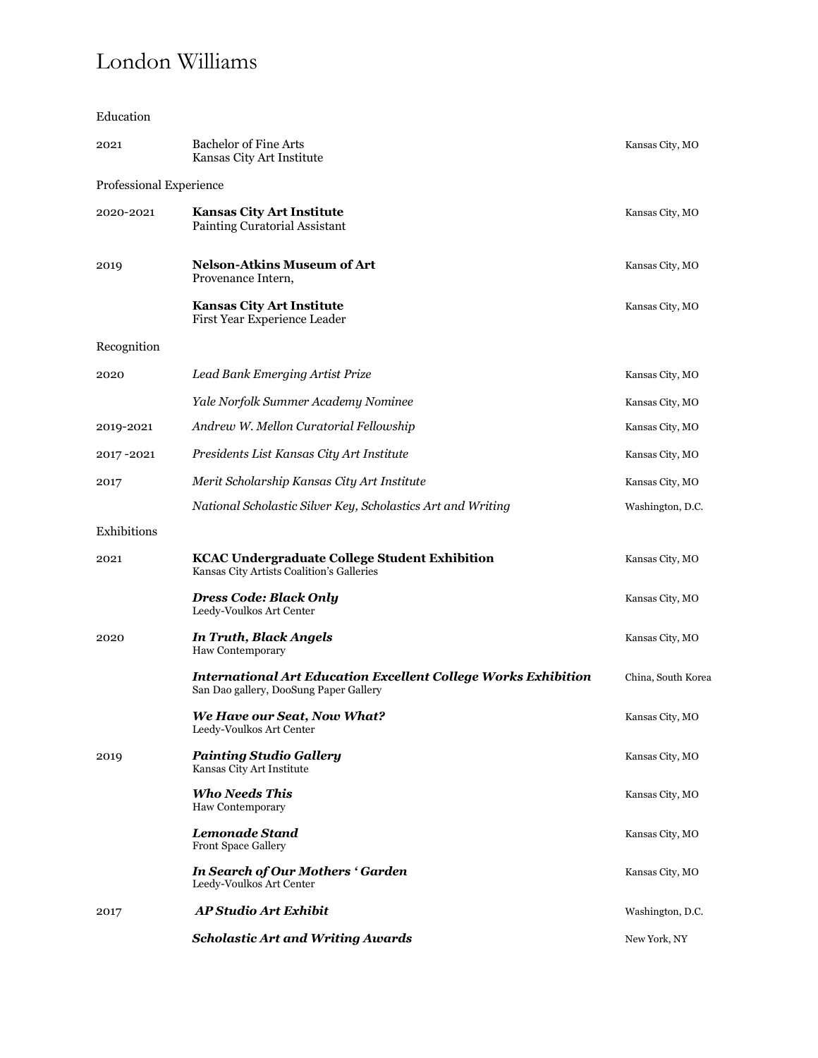## London Williams

Education

| 2021                    | <b>Bachelor of Fine Arts</b><br>Kansas City Art Institute                                                       | Kansas City, MO    |
|-------------------------|-----------------------------------------------------------------------------------------------------------------|--------------------|
| Professional Experience |                                                                                                                 |                    |
| 2020-2021               | <b>Kansas City Art Institute</b><br>Painting Curatorial Assistant                                               | Kansas City, MO    |
| 2019                    | <b>Nelson-Atkins Museum of Art</b><br>Provenance Intern,                                                        | Kansas City, MO    |
|                         | <b>Kansas City Art Institute</b><br>First Year Experience Leader                                                | Kansas City, MO    |
| Recognition             |                                                                                                                 |                    |
| 2020                    | Lead Bank Emerging Artist Prize                                                                                 | Kansas City, MO    |
|                         | Yale Norfolk Summer Academy Nominee                                                                             | Kansas City, MO    |
| 2019-2021               | Andrew W. Mellon Curatorial Fellowship                                                                          | Kansas City, MO    |
| 2017-2021               | Presidents List Kansas City Art Institute                                                                       | Kansas City, MO    |
| 2017                    | Merit Scholarship Kansas City Art Institute                                                                     | Kansas City, MO    |
|                         | National Scholastic Silver Key, Scholastics Art and Writing                                                     | Washington, D.C.   |
| Exhibitions             |                                                                                                                 |                    |
| 2021                    | <b>KCAC Undergraduate College Student Exhibition</b><br>Kansas City Artists Coalition's Galleries               | Kansas City, MO    |
|                         | Dress Code: Black Only<br>Leedy-Voulkos Art Center                                                              | Kansas City, MO    |
| 2020                    | In Truth, Black Angels<br>Haw Contemporary                                                                      | Kansas City, MO    |
|                         | <b>International Art Education Excellent College Works Exhibition</b><br>San Dao gallery, DooSung Paper Gallery | China, South Korea |
|                         | We Have our Seat, Now What?<br>Leedy-Voulkos Art Center                                                         | Kansas City, MO    |
| 2019                    | <b>Painting Studio Gallery</b><br>Kansas City Art Institute                                                     | Kansas City, MO    |
|                         | <b>Who Needs This</b><br><b>Haw Contemporary</b>                                                                | Kansas City, MO    |
|                         | <b>Lemonade Stand</b><br>Front Space Gallery                                                                    | Kansas City, MO    |
|                         | In Search of Our Mothers 'Garden<br>Leedy-Voulkos Art Center                                                    | Kansas City, MO    |
| 2017                    | <b>AP Studio Art Exhibit</b>                                                                                    | Washington, D.C.   |
|                         | <b>Scholastic Art and Writing Awards</b>                                                                        | New York, NY       |